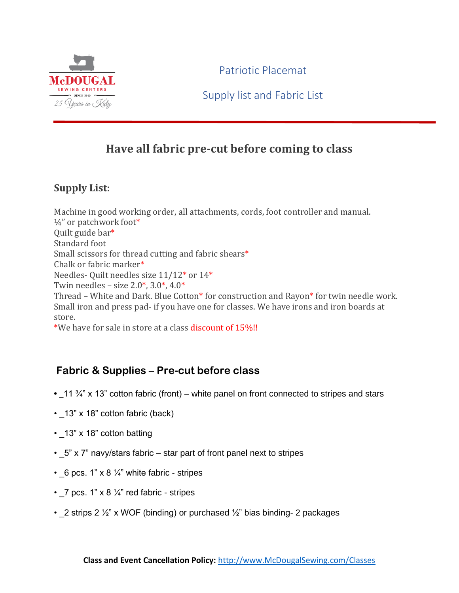

Patriotic Placemat

Supply list and Fabric List

## **Have all fabric pre-cut before coming to class**

## **Supply List:**

Machine in good working order, all attachments, cords, foot controller and manual. ¼" or patchwork foot\* Quilt guide bar\* Standard foot Small scissors for thread cutting and fabric shears\* Chalk or fabric marker\* Needles- Quilt needles size 11/12\* or 14\* Twin needles – size  $2.0^*$ ,  $3.0^*$ ,  $4.0^*$ Thread – White and Dark. Blue Cotton\* for construction and Rayon\* for twin needle work. Small iron and press pad- if you have one for classes. We have irons and iron boards at store.

\*We have for sale in store at a class discount of 15%!!

## **Fabric & Supplies – Pre-cut before class**

- **\_**11 ¾" x 13" cotton fabric (front) white panel on front connected to stripes and stars
- 13" x 18" cotton fabric (back)
- 13" x 18" cotton batting
- $\cdot$  5" x 7" navy/stars fabric star part of front panel next to stripes
- $6$  pcs. 1" x 8 ¼" white fabric stripes
- $\sqrt{7}$  pcs. 1" x 8  $\frac{1}{4}$ " red fabric stripes
- 2 strips 2  $\frac{1}{2}$ " x WOF (binding) or purchased  $\frac{1}{2}$ " bias binding- 2 packages